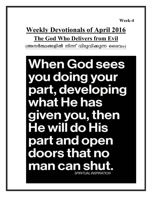**Week-4** 

## **Weekly Devotionals of April 2016 The God Who Delivers from Evil** (അനർത്ഥങ്ങളിൽ നിന്ന് വിടുവിക്കുന്ന ദൈവം)

**When God sees** you doing your part, developing what He has given you, then **He will do His** part and open doors that no man can shu SPIRITUAL INSPIRATION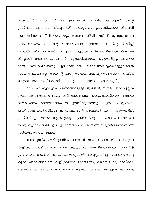വിശ്വസിച്ച് പ്രാർത്ഥിച്ച് അനുഗ്രഹങ്ങൾ പ്രാപിച്ച യബ്ബേസ് തന്തെ പ്രാർത്ഥന അവസാനിഷിക്കുന്നത് നമുക്കും അനുകരണീയമായ വിധത്തി ലാണ്(1ദിന:4:10) ''നിശ്ചയമായും അനർത്ഥം(Evil)എനിക്ക് വ്യസനകാരണ <u> മാകാതെ എന്നെ കാത്തു കൊള്ളേണമേ'' എന്നാണ് അവൻ പ്രാർത്ഥിച്ച്</u> നിർത്തിയത്.പാപത്തിൽ നിന്നുള്ള വിടുതൽ, പരിഹാസികളിൽ നിന്നുള്ള വിടുതൽ ഇവയെല്ലാം അവൻ ആത്മാർത്ഥമായി ആഗ്രഹിച്ചു. അശുദ്ധ ഉപേക്ഷിഷാൻ സാഹചര്യങ്ങളെ ദൈവത്തിലാശ്രയമുള്ളവർക്കേ മായ സാധിക്കുകയുള്ളൂ. അവന്റെ അത്യന്തശക്തി നമ്മിലുള്ളിടത്തോളം കഷ്ടം, ഉപദ്രവം ഇവ സഹിക്കേണ്ടി വന്നാലും നാം ഭയപ്പെടേണ്ട കാര്യമില്ല.

മദ്യം, മയക്കുമരുന്ന്, പണത്തോടുള്ള ആർത്തി, നിഗളം ഇവ എല്ലാം നമ്മെ അനർത്ഥങ്ങളിലേക്ക് വഴി നടത്തുന്നു. ഇവയ്ക്കെതിരായി ബോധ വൽക്കരണം നടത്തിയാലും അനുസരിക്കുന്നവരും വളരെ വിരളമാണ്. ഏത് ദുഷ്രപ്രവർത്തിയും ഒഴിവാക്കുവാൻ അവരവർ തന്നെ ആഗ്രഹിച്ച്, **മതിയാകുകയുള്ളൂ. പ്രാർത്ഥിക്കുന്ന ദൈവപൈതലിനെ** പ്രാർത്ഥിച്ചേ തന്റെ കൂടാരത്തിലൊളിഷിച്ച് അനർത്ഥത്തിൽ നിന്ന് വിടുവിക്കുന്നവനാണ് സർവ്വശക്തനായ ദൈവം.

വേദപുസ്തകത്തിലുടനീളം നോക്കിയാൽ ദൈവകല്പനകളനുസ രിച്ച് അവനോട് ചേർന്നു നടന്ന ആരും അനുഗ്രഹിക്കപ്പെടാതെ പോയിട്ടി ല്ല. ദൈവം അവരെ എല്ലാം ഐശ്വര്യമായി അനുഗ്രഹിച്ചു. ദൈവത്തോടു കുടെ പുറപ്പെടുവാൻ വിളിച്ചപ്പോൾ മോശയോ, യോസഫോ, ദാവീദോ, പൗലോസോ, പത്രോസോ ആരും തന്നെ, സഹോദരങ്ങളെക്കാൾ മാന്യ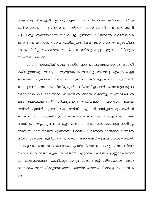രാകും എന്ന് കരുതിയില്ല. പഴി, ദുഷി, നിന്ദ, പരിഹാസം, കഠിനമായ പീഢ കൾ എല്ലാം ഒന്നിനു പിറകേ ഒന്നായി വന്നഷോൾ അവർ സകലതും സഹി ച്ചു.പലതും നഷ്ടമാകുന്ന സാഹചര്യം ഉണ്ടായി. പ്രീയരെന്ന് കരുതിയവർ കൈവിട്ടു, എന്നാൽ സകല പ്രതികൂലങ്ങളിലും കൈവിടാതെ കൂടെയിരു ന്നാശ്വസിപ്പിച്ച ദൈവത്തെ ഇവർ ഉപേക്ഷിക്കുകയല്ല മുറുകെ പിടിക്കുക യാണ് ചെയ്തത്.

ദാവീദ് രാജാവിന് ആടു മേയിച്ച ഒരു കാലമുണ്ടായിരുന്നു. കാട്ടിൽ കഴിയുമ്പോഴും അദ്ദേഹം ആശ്വസിച്ചത് അഷനും അമ്മയും എന്നെ തള്ളി എങ്കിലും ചേർത്തുകൊണ്ടു യഹോവ എന്നെ ക്കളഞ്ഞു .എന്നാണ്. ഗോല്യാത്ത് എന്ന ഫെലിസ്ത്യാല്ലൻ പരിഹസിച്ചപ്പോൾ, സൈന്യങ്ങളുടെ ദൈവമായ യഹോവയുടെ നാമത്തിൽ ഞാൻ വരുന്നു, യിസ്രായേലിൽ ദൈവമുണ്ടെന്ന് സർവ്വഭൂമിയും അറിയുമെന്ന് പറഞ്ഞു. ഒരു പെട്ടക ത്തിന്റെ മുമ്പിൽ നൃത്തം ചെയ്തതിന് ഭാര്യ പരിഹസിച്ചപ്പോഴും അർഹി ക്കാത്ത സ്ഥാനത്തേക്ക് എന്നെ തിരഞ്ഞെടുത്ത യഹോവയുടെ മുമ്പാകെ ഞാൻ ഇനിയും നൃത്തം ചെയ്യും എന്ന് പറഞ്ഞവനെ, യഹോവ മാനിച്ചു. യബ്ബേസ് മാന്യനായത് എങ്ങനെ? കേവലം പ്രാർത്ഥന മാത്രമോ ? അതേ വിശ്വാസത്തോടുകൂടിയുള്ള പ്രാർത്ഥന കേട്ടിട്ടാണ് ദൈവം പ്രവർത്തിച്ചത്. നടക്കുമോ എന്ന സംശയത്തോടെ പ്രാർത്ഥിക്കാതെ നടക്കും എന്ന വിശ്വാ സത്തിൽ പ്രാർത്ഥിക്കുക. പ്രാർത്ഥന ഏറ്റവും അർത്ഥപൂർണ്ണമാകുന്നത് ദാനങ്ങൾക്കുവേണ്ടി യാചിക്കുമ്പോഴല്ല; ദാതാവിന്റെ സ്നേഹവും, സഹ വാസവും ആഗ്രഹിക്കുമ്പോഴാണ്. അതിന് ദൈവം നിങ്ങളെ സഹായിക്ക ടെ.